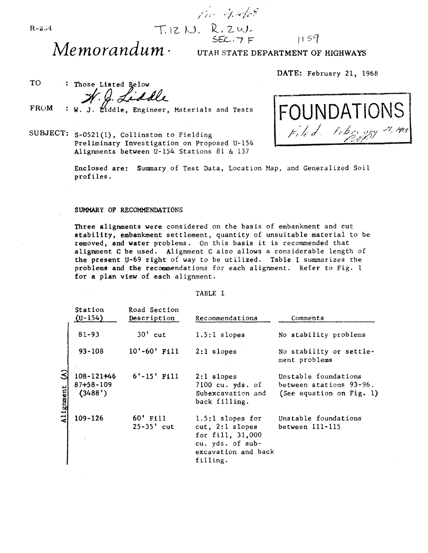# $T. 12 M. R. 2 W.$ <br>SEC.  $7 F$  $1159$

/ / /1'

Memorandum · UTAH STATE DEPARTMENT OF HIGHWAYS

DATE: February 21, 1968

TO : Those Listed Below<br>*4. Q. Liddle* 

**FROM** iddle, Engineer, Materials and Tests

SUBJECT: S-052l(1). Collinston to Fielding Preliminary Investigation on Proposed U-154 Alignments between U-154 Stations 81 & 137



Enclosed are: Summary of Test Data, Location Map, and Generalized Soil profiles.

#### SUMMARY OF RECOMMENDATIONS

Three alignments were considered on the basis of embankment and cut stability. embankment settlement, quantity of unsuitable material to be removed, and water problems. On thts basis it is recommended that alignment C be used. Alignment C also allows a considerable length of the present U-69 right of way to be utilized. Table I summarizes the problems and the recommendations for each alignment. Refer to Fig. 1 for a plan view of each alignment.

#### TABLE I

|                | Station<br>$(U-154)$                          | Road Section<br>Description | Recommendations                                                                                                  | Comments                                                                    |
|----------------|-----------------------------------------------|-----------------------------|------------------------------------------------------------------------------------------------------------------|-----------------------------------------------------------------------------|
|                | $81 - 93$                                     | $30'$ cut                   | $1.5:1$ slopes                                                                                                   | No stability problems                                                       |
|                | $93 - 108$                                    | $10'-60'$ Fill              | $2:1$ slopes                                                                                                     | No stability or settle-<br>ment problems                                    |
| 3<br>Alignment | $108 - 121 + 46$<br>$87 + 58 - 109$<br>(3488) | $6'$ -15' Fill              | $2:1$ slopes<br>$7100$ cu. yds. of<br>Subexcavation and<br>back filling.                                         | Unstable foundations<br>between stations 93-96.<br>(See equation on Fig. 1) |
|                | 109-126<br>$\tau_{\rm{c}}$                    | 60' Fill<br>$25 - 35'$ cut  | 1.5:1 slopes for<br>$cut, 2:1$ slopes<br>for fill, 31,000<br>cu. yds. of sub-<br>excavation and back<br>filling. | Unstable foundations<br>between 111-115                                     |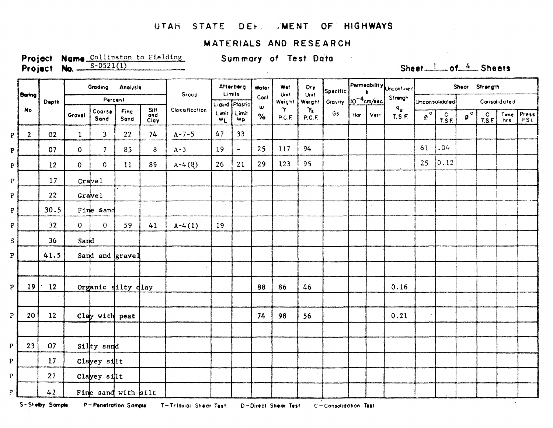#### UTAH STATE DEF. /MENT OF HIGHWAYS

#### MATERIALS AND RESEARCH

Project Name Collinston to Fielding  $S-0521(1)$ Project No. -

Summary of Test Data

 $\sim$   $\sim$ 

### Sheet\_1\_of\_4\_Sheets

|                 |                | Depth           | Grading<br>Analysis |                            |                                     | Group | Afterberg<br>Limits |                | Water          | Wet<br>Unit | Dry<br>Unit                     | Specific                         | $\begin{bmatrix} \mathsf{Permeability} \\ k \end{bmatrix}$ |     |         | Shear Strength                                  |             |                 |                        |                                            |              |                                                            |  |
|-----------------|----------------|-----------------|---------------------|----------------------------|-------------------------------------|-------|---------------------|----------------|----------------|-------------|---------------------------------|----------------------------------|------------------------------------------------------------|-----|---------|-------------------------------------------------|-------------|-----------------|------------------------|--------------------------------------------|--------------|------------------------------------------------------------|--|
|                 | <b>Baring</b>  |                 | Percent             |                            |                                     |       |                     | Liquid Plastic | Cont.<br>w     | Waight      | Weight                          | Gravity 10 <sup>-4</sup> cm/sec. |                                                            |     | Strangh | Unconsolidated                                  |             | Consolidated    |                        |                                            |              |                                                            |  |
|                 | <b>No</b>      |                 | Gravel              | Coorse<br>Sand             | Silt<br>and<br>Clay<br>Fine<br>Sand |       | Classification      | Limit<br>$w_L$ | Limit<br>шp    | $\%$        | $\boldsymbol{\gamma}$<br>P.C.F. | $\gamma_{5}$<br>P.C.F.           | Gs                                                         | Hor | Vert    | $\mathfrak{q}_{_{\mathbf{U}}}$<br><b>T.S.F.</b> | $2^{\circ}$ | $\frac{C}{TSE}$ | $\mathfrak{g}^{\circ}$ | $\begin{bmatrix} C \\ T.S.E \end{bmatrix}$ | Time<br>hrs. | $\begin{bmatrix} \text{Press} \\ \text{PSL} \end{bmatrix}$ |  |
| $\, {\bf p}$    | 2 <sup>1</sup> | 02              | $\mathbf{I}$        | 3                          | 22                                  | 74    | $A - 7 - 5$         | 47             | 33             |             |                                 |                                  |                                                            |     |         |                                                 |             |                 |                        |                                            |              |                                                            |  |
| $\mathbf{P}$    |                | 07              | $\mathbf 0$         | 7                          | 85                                  | 8     | $A-3$               | 19             | $\blacksquare$ | 25          | 117                             | 94                               |                                                            |     |         |                                                 | 61          | .04             |                        |                                            |              |                                                            |  |
| ${\bf P}$       |                | 12              | $\mathbf{O}$        | $\mathbf{O}$               | 11                                  | 89    | $A-4(8)$            | 26             | 21             | 29          | 123                             | 95                               |                                                            |     |         |                                                 | 25          | 0.12            |                        |                                            |              |                                                            |  |
| $\mathbf P$     |                | 17              |                     | Gravel                     |                                     |       |                     |                |                |             |                                 |                                  |                                                            |     |         |                                                 |             |                 |                        |                                            |              |                                                            |  |
| $\mathbf{P}$    |                | 22              |                     | Gravel                     |                                     |       |                     |                |                |             |                                 |                                  |                                                            |     |         |                                                 |             |                 |                        |                                            |              |                                                            |  |
| ${\tt P}$       |                | 30.5            |                     | Fine sand                  |                                     |       |                     |                |                |             |                                 |                                  |                                                            |     |         |                                                 |             |                 |                        |                                            |              |                                                            |  |
| $\mathtt{P}$    |                | 32 <sub>2</sub> | $\mathbf{0}$        | $\mathbf{O}$               | 59                                  | 41    | $A-4(1)$            | 19             |                |             |                                 |                                  |                                                            |     |         | $\mathcal{L}$                                   |             |                 |                        |                                            |              |                                                            |  |
| $S_{\parallel}$ |                | 36              | Sand                |                            |                                     |       |                     |                |                |             |                                 |                                  |                                                            |     |         |                                                 |             |                 |                        |                                            |              |                                                            |  |
| $\mathbf{p}$    |                | 41.5            |                     | Sand and gravel            |                                     |       |                     |                |                |             |                                 |                                  |                                                            |     |         | $\sim$                                          |             |                 | $\sim$                 |                                            |              |                                                            |  |
|                 |                |                 |                     |                            |                                     |       |                     |                |                |             |                                 |                                  |                                                            |     |         |                                                 |             |                 |                        |                                            |              |                                                            |  |
| $\mathbf{P}$    | 19             | 12              |                     | Organic silty dlay         |                                     |       |                     |                |                | 88          | 86                              | 46                               |                                                            |     |         | 0.16                                            |             |                 |                        |                                            |              |                                                            |  |
|                 |                |                 |                     |                            |                                     |       |                     |                |                |             |                                 |                                  |                                                            |     |         |                                                 |             |                 |                        |                                            |              |                                                            |  |
| $\mathbf{P}$    | 20             | 12              |                     | $clay$ with peat           |                                     |       |                     |                |                | 74          | 98                              | 56                               |                                                            |     |         | 0.21                                            |             |                 |                        |                                            |              |                                                            |  |
|                 |                |                 |                     |                            |                                     |       |                     |                |                |             |                                 |                                  |                                                            |     |         |                                                 |             |                 |                        |                                            |              |                                                            |  |
| P               | 23             | 07              |                     | Silty sand                 |                                     |       |                     |                |                |             |                                 |                                  |                                                            |     |         |                                                 |             |                 |                        |                                            |              |                                                            |  |
| $\mathbf{P}$    |                | 17              |                     | Clayey $s$ <sup>11</sup> t |                                     |       |                     |                |                |             |                                 |                                  |                                                            |     |         |                                                 |             |                 |                        |                                            |              |                                                            |  |
| $\mathbf{P}$    |                | 27              |                     | Clayey silt                |                                     |       |                     |                |                |             |                                 |                                  |                                                            |     |         |                                                 |             |                 |                        |                                            |              |                                                            |  |
| P               |                | $42^{1}$        |                     | Fine sand with silt        |                                     |       |                     |                |                |             |                                 |                                  |                                                            |     |         |                                                 |             |                 |                        |                                            |              |                                                            |  |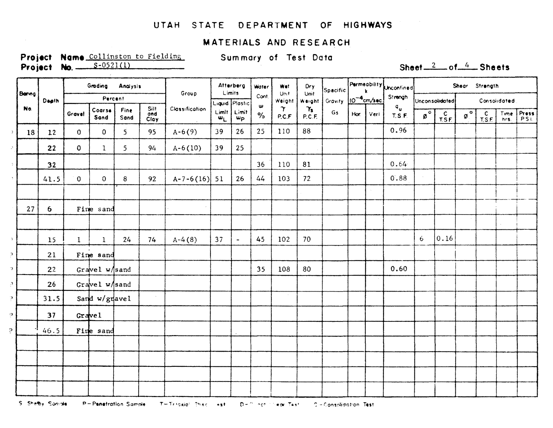### UTAH STATE DEPARTMENT OF HIGHWAYS

#### MATERIALS AND RESEARCH

Project Name Collinston to Fielding **Project No.**  $S-0521(1)$ 

 $\sim 10^{-1}$ 

Summary of Test Data

Sheet  $\frac{2}{2}$  of  $\frac{4}{2}$  Sheets

|                            |              |                | Grading<br>Analysis |                  |                |                     |                | Atterberg<br>Limits |                                                           | Water                     | Wet                           | Dry<br>Unit    | Spacific                        | Permeability <b>Unconfined</b> |                                     |                                   | Shear Strength  |                                     |                                                 |              |        |  |  |  |
|----------------------------|--------------|----------------|---------------------|------------------|----------------|---------------------|----------------|---------------------|-----------------------------------------------------------|---------------------------|-------------------------------|----------------|---------------------------------|--------------------------------|-------------------------------------|-----------------------------------|-----------------|-------------------------------------|-------------------------------------------------|--------------|--------|--|--|--|
|                            | <b>Benng</b> | Depth          |                     | Percent          |                |                     | Group          |                     | Liquid Plastic                                            | Cont.<br>w                | Unit<br>Weight                | Weight         | Gravity 10 <sup>-4</sup> cm/sec |                                |                                     | Strengh                           |                 | Unconsolidated                      | Consolidated                                    |              |        |  |  |  |
|                            | No.          |                | Gravel              | Coarse<br>Sand   | Fine<br>Sand   | Silt<br>ond<br>Clay | Classification | Limit.<br>$w_L$     | $\begin{array}{ l} \text{Limit} \\ \text{up} \end{array}$ | $\gamma$<br>$\%$<br>P.C.F | $\gamma_{\text{s}}$<br>P.C.F. | G <sub>5</sub> | Hor.                            | Vert                           | $\mathsf{q}_{\mathsf{u}}$<br>T.S.F. | $\overline{\mathfrak{g}}^{\circ}$ | $\frac{c}{TSE}$ | $\boldsymbol{\mathfrak{g}}^{\circ}$ | $\begin{bmatrix} c \\ \text{TSF} \end{bmatrix}$ | Time<br>hrs. | Press  |  |  |  |
| $\mathcal{I}$              | 18           | 12             | $\mathbf{0}$        | $\mathbf 0$      | $\overline{5}$ | 95                  | $A - 6(9)$     | 39                  | 26                                                        | 25                        | 110                           | 88             |                                 |                                |                                     | 0.96                              |                 |                                     |                                                 |              |        |  |  |  |
| $\mathcal{J}_\perp$        |              | 22             | $\mathbf{O}$        | $\mathbf{I}$     | 5              | 94                  | $A-6(10)$      | 39                  | 25                                                        |                           |                               |                |                                 |                                |                                     |                                   |                 |                                     |                                                 |              |        |  |  |  |
| $\mathbb{Y}$ .             |              | 32             |                     |                  |                |                     |                |                     |                                                           | 36                        | 110                           | 81             |                                 |                                |                                     | 0.64                              |                 |                                     |                                                 |              |        |  |  |  |
| $\gamma$                   |              | 41.5           | $\overline{0}$      | $\theta$         | 8              | 92                  | $A-7-6(16)$ 51 |                     | 26                                                        | 44                        | 103                           | 72             |                                 |                                |                                     | 0.88                              |                 |                                     |                                                 |              |        |  |  |  |
|                            | 27           | 6 <sup>1</sup> |                     | Fine sand        |                |                     |                |                     |                                                           |                           |                               |                |                                 |                                |                                     |                                   |                 |                                     |                                                 |              |        |  |  |  |
|                            |              |                |                     |                  |                |                     |                |                     |                                                           |                           |                               |                |                                 |                                |                                     |                                   |                 |                                     |                                                 |              | $\sim$ |  |  |  |
| $\gamma$                   |              | 15             | $\mathbf{I}$        | $\mathbf{1}$     | 24             | 74                  | $A-4(8)$       | 37                  | $\blacksquare$                                            | 45                        | 102                           | 70             |                                 |                                |                                     |                                   | 6 <sub>1</sub>  | 0.16                                |                                                 |              |        |  |  |  |
| $\mathcal{D}_{\mathbb{C}}$ |              | 21             |                     | Fine sand        |                |                     |                |                     |                                                           |                           |                               |                |                                 |                                |                                     |                                   |                 |                                     |                                                 |              |        |  |  |  |
| $\mathcal{L}$              |              | 22             |                     | Gravel $w$ /sand |                |                     |                |                     |                                                           | 35                        | 108                           | 80             |                                 |                                |                                     | 0.60                              |                 |                                     |                                                 |              |        |  |  |  |
| ्र                         |              | 26             |                     | Gravel $w$ /sand |                |                     |                |                     |                                                           |                           |                               |                |                                 |                                |                                     |                                   |                 |                                     |                                                 |              |        |  |  |  |
| $\mathbb{R}^+$             |              | 31.5           |                     | Sand $w/gq$ avel |                |                     |                |                     |                                                           |                           |                               |                |                                 |                                |                                     |                                   |                 |                                     |                                                 |              |        |  |  |  |
| $\mathcal{P}$              |              | 37             |                     | Gravel           |                |                     |                |                     |                                                           |                           |                               |                |                                 |                                |                                     |                                   |                 |                                     |                                                 |              |        |  |  |  |
| $\mathsf{P}$               |              | 46.5           |                     | Fine sand        |                |                     |                |                     |                                                           |                           |                               |                |                                 |                                |                                     |                                   |                 |                                     |                                                 |              |        |  |  |  |
|                            |              |                |                     |                  |                |                     |                |                     |                                                           |                           |                               |                |                                 |                                |                                     |                                   |                 |                                     |                                                 |              |        |  |  |  |
|                            |              |                |                     |                  |                |                     |                |                     |                                                           |                           |                               |                |                                 |                                |                                     |                                   |                 |                                     |                                                 |              |        |  |  |  |
|                            |              |                |                     |                  |                |                     |                |                     |                                                           |                           |                               |                |                                 |                                |                                     |                                   |                 |                                     |                                                 |              |        |  |  |  |
|                            |              |                |                     |                  |                |                     |                |                     |                                                           |                           |                               |                |                                 |                                |                                     |                                   |                 |                                     |                                                 |              |        |  |  |  |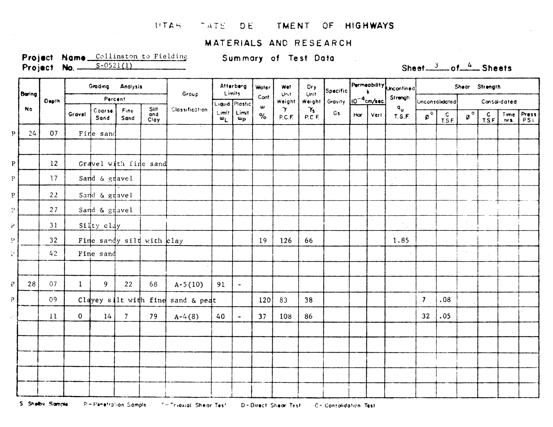#### **LITAH** TATE DE TMENT OF HIGHWAYS

### MATERIALS AND RESEARCH

Project Name Collinston to Fielding Project No.  $S=0521(1)$ 

Summary of Test Data

Sheet  $\frac{3}{2}$  of  $\frac{4}{2}$  Sheets

|   |           | Dapth           | Grading<br>Analysis |                   |                |                            | Group                                | Afterberg<br>Limits                |                           | Water  | Wet<br>Unit        | Dry<br>Unit                     | $ {\scriptstyle{\mathsf{Specific}}} $ | $[Permeability] \label{lem:permeability} \begin{bmatrix} \text{Conformal} \\ \text{Conformal} \end{bmatrix}$ |          |                                     | Shear Strength       |                 |                        |                                            |              |                                                                                 |  |
|---|-----------|-----------------|---------------------|-------------------|----------------|----------------------------|--------------------------------------|------------------------------------|---------------------------|--------|--------------------|---------------------------------|---------------------------------------|--------------------------------------------------------------------------------------------------------------|----------|-------------------------------------|----------------------|-----------------|------------------------|--------------------------------------------|--------------|---------------------------------------------------------------------------------|--|
|   | Baring    |                 | Percent             |                   |                |                            |                                      | Liquid Plastic                     | Cont.<br>ω                | Weight | Weight             | Gravity 10 <sup>-4</sup> cm/sec |                                       |                                                                                                              | Strangh  | Unconsolidated                      |                      | Consolidated    |                        |                                            |              |                                                                                 |  |
|   | <b>No</b> |                 | Gravel              | Coarse<br>Sand    | Fine<br>Sand   | <b>Silt</b><br>and<br>Clay | Classification                       | Limit<br>$\mathbf{w}_{\mathsf{L}}$ | Limit<br>$w_{\mathsf{P}}$ | $\%$   | $\gamma$<br>P.C.F. | $\gamma_{s}$<br>P.C.F.          | Gs                                    | Hor                                                                                                          | $ $ Vert | $\mathsf{q}_{\mathsf{u}}$<br>T.S.F. | $\mathbf{p}^{\circ}$ | $\frac{c}{LSE}$ | $\mathfrak{g}^{\circ}$ | $\begin{bmatrix} C \\ T.S.F \end{bmatrix}$ | Time<br>hrs. | $\begin{array}{ c c }\n\hline\n\text{Press} \\ \hline\n\text{PSL}\n\end{array}$ |  |
| ъ | 24        | 07              |                     | Fine sand         |                |                            |                                      |                                    |                           |        |                    |                                 |                                       |                                                                                                              |          |                                     |                      |                 |                        |                                            |              |                                                                                 |  |
|   |           |                 |                     |                   |                |                            |                                      |                                    |                           |        |                    |                                 |                                       |                                                                                                              |          |                                     |                      |                 |                        |                                            |              |                                                                                 |  |
| P |           | 12              |                     |                   |                | Gravel with fine sand      |                                      |                                    |                           |        |                    |                                 |                                       |                                                                                                              |          |                                     |                      |                 |                        |                                            |              |                                                                                 |  |
| P |           | 17              |                     | Sand & gravel     |                |                            |                                      |                                    |                           |        |                    |                                 |                                       |                                                                                                              |          |                                     |                      |                 |                        |                                            |              |                                                                                 |  |
| p |           | 22              |                     | Sand & gravel     |                |                            |                                      |                                    |                           |        |                    |                                 |                                       |                                                                                                              |          |                                     |                      |                 |                        |                                            |              |                                                                                 |  |
|   |           | 27              |                     | Sand $\&$ gravel  |                |                            |                                      |                                    |                           |        |                    |                                 |                                       |                                                                                                              |          |                                     |                      |                 |                        |                                            |              |                                                                                 |  |
|   |           | 31              |                     | $\int$ siųty clay |                |                            |                                      |                                    |                           |        |                    |                                 |                                       |                                                                                                              |          | $\mathbf{v}$ .                      |                      |                 |                        |                                            |              |                                                                                 |  |
|   |           | 32 <sup>°</sup> |                     |                   |                | Fine sandy sild with clay  |                                      |                                    |                           | 19     | 126                | 66                              |                                       |                                                                                                              |          | 1.85                                |                      |                 |                        |                                            |              |                                                                                 |  |
|   |           | 42              |                     | Fine sand         |                |                            |                                      |                                    |                           |        |                    |                                 |                                       |                                                                                                              |          |                                     |                      |                 | $\sim$                 |                                            |              |                                                                                 |  |
|   |           |                 |                     |                   |                |                            |                                      |                                    |                           |        |                    |                                 |                                       |                                                                                                              |          |                                     |                      |                 |                        |                                            |              |                                                                                 |  |
|   | 28        | 07              | $\mathbf{1}$        | 9                 | 22             | 68                         | $A-5(10)$                            | 91                                 | $\frac{1}{2}$             |        |                    |                                 |                                       |                                                                                                              |          |                                     |                      |                 |                        |                                            |              |                                                                                 |  |
|   |           | 09              |                     |                   |                |                            | Clayey silt with find sand $\&$ peat |                                    |                           | 120    | 83                 | 38                              |                                       |                                                                                                              |          |                                     | $\mathcal{I}$        | .08             |                        |                                            |              |                                                                                 |  |
|   |           | 11              | $\mathbf{O}$        | 14                | 7 <sup>7</sup> | 79                         | $A-4(8)$                             | 40                                 | $\bullet$                 | 37     | 108                | 86                              |                                       |                                                                                                              |          |                                     | 32                   | .05             |                        |                                            |              |                                                                                 |  |
|   |           |                 |                     |                   |                |                            |                                      |                                    |                           |        |                    |                                 |                                       |                                                                                                              |          |                                     |                      |                 |                        |                                            |              |                                                                                 |  |
|   |           |                 |                     |                   |                |                            |                                      |                                    |                           |        |                    |                                 |                                       |                                                                                                              |          |                                     |                      |                 |                        |                                            |              |                                                                                 |  |
|   |           |                 |                     |                   |                |                            |                                      |                                    |                           |        |                    |                                 |                                       |                                                                                                              |          |                                     |                      |                 |                        |                                            |              |                                                                                 |  |
|   |           |                 |                     |                   |                |                            |                                      |                                    |                           |        |                    |                                 |                                       |                                                                                                              |          |                                     |                      |                 |                        |                                            |              |                                                                                 |  |
|   |           |                 |                     |                   |                |                            |                                      |                                    |                           |        |                    |                                 |                                       |                                                                                                              |          |                                     |                      |                 |                        |                                            |              |                                                                                 |  |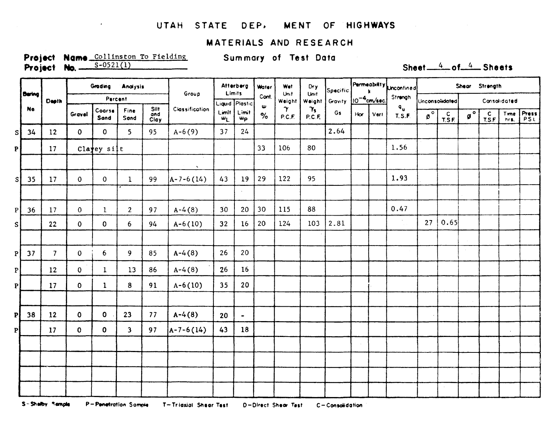### UTAH STATE DEP. MENT OF HIGHWAYS

### **MATERIALS AND RESEARCH**

Project Name Collinston To Fielding Project No. 5-0521(1)

 $\bullet$ 

Summary of Test Data

## Sheet  $4$  of  $4$  Sheets

|    |               | <b>Depth</b>   |              | Grading Analysis    |                         |                     | Group                 | Afterberg<br>Limits                |                                               | <b>Water</b>          | <b>Wet</b><br>Unit | Dry<br>Unit            | $ {\scriptstyle{\mathsf{Specific}}} $ | $\left \frac{\text{Permeability}}{\text{k}}\right $ |             |                                     | Shear Strength         |                  |                        |                 |              |              |  |
|----|---------------|----------------|--------------|---------------------|-------------------------|---------------------|-----------------------|------------------------------------|-----------------------------------------------|-----------------------|--------------------|------------------------|---------------------------------------|-----------------------------------------------------|-------------|-------------------------------------|------------------------|------------------|------------------------|-----------------|--------------|--------------|--|
|    | <b>Bering</b> |                |              | Percent             |                         |                     |                       |                                    | Liquid Plastic                                | Cont.<br>$\mathbf{w}$ | Weight             | <b>Weight</b>          | Gravity 10 <sup>-4</sup> cm/sec.      |                                                     |             | Strangh                             | Unconsolidated         |                  | Consolidated           |                 |              |              |  |
|    | No.           |                | Gravel       | Coorse<br>Sand      | Fine<br>Sand            | Silt<br>and<br>Clay | <b>Classification</b> | Limit<br>$\mathbf{w}_{\mathsf{L}}$ | Limit<br>$\overline{\mathbf{u}_{\mathbf{p}}}$ | $\%$                  | $\gamma$<br>P.C.F. | $\gamma_{s}$<br>P.C.F. | Gs                                    |                                                     | Hor   Vert. | $\mathbf{q}_{\mathbf{u}}$<br>T.S.F. | $\mathfrak{g}^{\circ}$ | $rac{C}{T.S.E.}$ | $\mathfrak{g}^{\circ}$ | $\frac{c}{TSE}$ | Time<br>hrs. | Press<br>PSL |  |
| sl | 34            | 12             | $\mathbf{O}$ | $\mathbf{0}$        | 5 <sup>1</sup>          | 95                  | $A - 6(9)$            | 37                                 | $24^{1}$                                      |                       |                    |                        | 2.64                                  |                                                     |             |                                     |                        |                  |                        |                 |              |              |  |
| P  |               | 17             |              | $Cla$ <b>y</b> silt |                         |                     |                       |                                    |                                               | 33                    | 106                | 80                     |                                       |                                                     |             | 1.56                                |                        |                  |                        |                 |              |              |  |
|    |               |                |              |                     |                         |                     | $\mathbf{x}$          |                                    |                                               |                       |                    |                        |                                       |                                                     |             |                                     |                        |                  |                        |                 |              |              |  |
| sl | 35            | 17             | $\mathbf{O}$ | $\mathbf{0}$        | $\mathbf{1}$            | 99                  | $A - 7 - 6(14)$       | 43                                 | 19                                            | 29                    | 122                | 95                     |                                       |                                                     |             | 1.93                                |                        |                  |                        |                 |              |              |  |
|    |               |                |              |                     |                         |                     |                       |                                    | $\tilde{\phantom{a}}$                         |                       |                    |                        |                                       |                                                     |             |                                     |                        |                  |                        |                 |              |              |  |
| P  | 36            | 17             | $\mathbf{0}$ | $\mathbf{1}$        | $\overline{2}$          | 97                  | $A-4(8)$              | 30 <sub>o</sub>                    | 20                                            | 30                    | 115                | 88                     |                                       |                                                     |             | 0.47                                |                        |                  |                        |                 |              |              |  |
| S. |               | 22             | $\mathbf{O}$ | $\mathbf{O}$        | 6                       | 94                  | $A-6(10)$             | 32                                 | 16                                            | 20                    | 124                | 103                    | 2.81                                  |                                                     |             |                                     | 27                     | 0.65             |                        |                 |              |              |  |
|    |               |                |              |                     |                         |                     |                       |                                    |                                               |                       |                    |                        |                                       |                                                     |             |                                     |                        |                  |                        |                 |              |              |  |
|    | 37            | $\overline{7}$ | $\mathbf{0}$ | $6\overline{6}$     | 9                       | 85                  | $A-4(8)$              | 26                                 | 20                                            |                       |                    |                        |                                       |                                                     |             |                                     |                        |                  | $\sim$                 |                 |              |              |  |
| P  |               | 12             | $\mathbf{0}$ | $\mathbf{I}$        | 13                      | 86                  | $A-4(8)$              | 26                                 | 16                                            |                       |                    |                        |                                       |                                                     |             |                                     |                        |                  |                        |                 |              |              |  |
|    |               | 17             | $\mathbf 0$  | $\mathbf{1}$        | 8                       | 91                  | $A-6(10)$             | 35                                 | 20                                            |                       |                    |                        |                                       |                                                     |             |                                     |                        |                  |                        |                 |              |              |  |
|    |               |                |              |                     |                         |                     |                       |                                    |                                               |                       |                    |                        |                                       |                                                     |             |                                     |                        |                  |                        |                 |              |              |  |
|    | 38            | 12             | $\mathbf 0$  | $\mathbf{o}$        | 23                      | 77                  | $A-4(8)$              | 20                                 | $\blacksquare$                                |                       |                    |                        |                                       |                                                     |             |                                     |                        |                  |                        |                 |              |              |  |
|    |               | 17             | $\mathbf 0$  | $\mathbf 0$         | $\overline{\mathbf{3}}$ | 97                  | $A - 7 - 6(14)$       | 43                                 | 18                                            |                       |                    |                        |                                       |                                                     |             |                                     |                        |                  |                        |                 |              |              |  |
|    |               |                |              |                     |                         |                     |                       |                                    |                                               |                       |                    |                        |                                       |                                                     |             |                                     |                        |                  |                        |                 |              |              |  |
|    |               |                |              |                     |                         |                     |                       |                                    |                                               |                       |                    |                        |                                       |                                                     |             |                                     |                        |                  |                        |                 |              |              |  |
|    |               |                |              |                     |                         |                     |                       |                                    |                                               |                       |                    |                        |                                       |                                                     |             |                                     |                        |                  |                        |                 |              |              |  |
|    |               |                |              |                     |                         |                     |                       |                                    |                                               |                       |                    |                        |                                       |                                                     |             |                                     |                        |                  |                        |                 |              |              |  |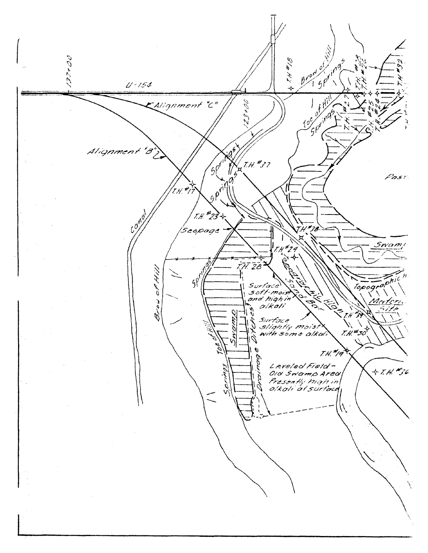Brand of Ispiras ن ح م ح ح ح م فهمارتهم 914418 ¥  $U - 154$  $10^{6}$  of  $11^{11}$  $3048$ Alignment "C"  $\chi$ ag Alignment "B  $9^{q^{t}}$ y<br>H T.H. #37 Past.  $(\mathcal{H}^{\star})$ I  $9^{\rho}$ T.H. #23 Cong T.H#38 'Seopage Swami  $79$ o,  $\phi^{\prime}$ 77. ZB  $5\rho^{\prime}$ زرېدې مره. へ Surface Topogr D s of t-moist  $\tilde{\mathbf{z}}$  $\dot{\leq}$  $\mathcal{L}$ **PO** Brow. A A olkali ؆  $\overline{Q}$ ⋝ 分  $7.0\%$ Surface<br>Slightly moist<br>with some alkal  $\mathcal{U}$  $7.4.450$ TH. 19 por Leveled Field- $+7.4.$ #36 Old Swamp Area Ď Presently high in<br>olkali at surface í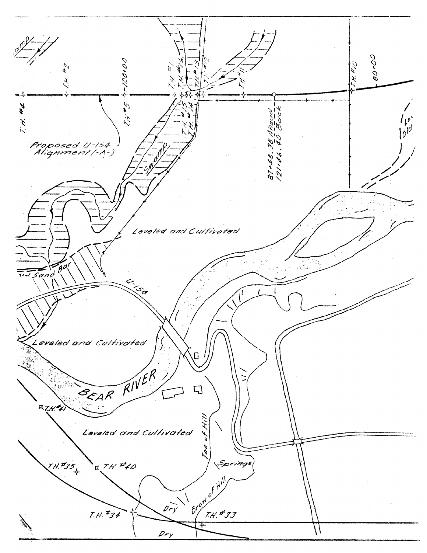